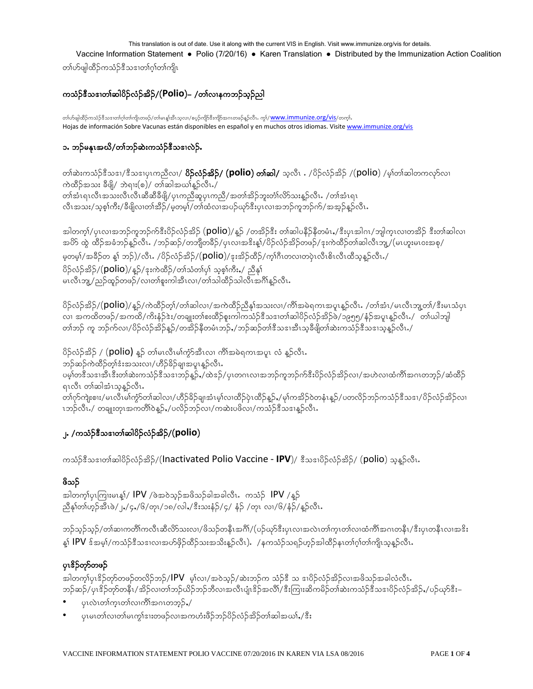This translation is out of date. Use it along with the current VIS in English. Visit www.immunize.org/vis for details.

Vaccine Information Statement • Polio (7/20/16) • Karen Translation • Distributed by the Immunization Action Coalition

တၢဴဟ်ဖျါထိဉ်ကသံဉ်ဒီသဒၢတၢ်ဂ္ဂါတၢ်ကျိၤ

# ကသံဉ်ဒီသဒၢတၢ်ဆါပိဉ်လံဉ်အိဉ်/(Polio)– /တၢ်လၢနကဘဉ်သူဉ်ညါ

တၢ်ဟ်ဖျထိဉ်ကသံဉ်ဒီသဒၢတၢ်ဂု၊်တ၊်ကျိၤတဖဉ်/တ၊်မၤန္၊်အီးသ္လလ၊/စပ္ဉ်ာကျိာ်ဒီးကျိာအဂၤတဖဉ်နူဉ်လီၤ. ကွ၊်/<mark>WWW.immunize.org/vis</mark>/တက္၊်. Hojas de información Sobre Vacunas están disponibles en español y en muchos otros idiomas. Visite www.immunize.org/vis

### ၁. ဘဉ်မနုၤအဃိ/တၢ်ဘဉ်ဆဲးကသံဉ်ဒီသဒၢလဲဉ်.

တၢ်ဆဲးကသံဉ်ဒီသဒၢ/ဒီသဒၢပုၤကညီလၢ/ **၀ိဉ်လံဉ်အိဉ်/ (polio) တၢ်ဆါ/** သူလီၤ . /၀ိဉ်လံဉ်အိဉ် /(polio) /မ့္ပ်ာစာဆါတကလုာ်လၢ ကဲထိဉ်အသး ခ်ီဖျိ/ ဘဲရၢး(စ)/ တၢ်ဆါအယၢ်နူဉ်လီၤႇ/ တၢ်အံၤရၤလီၤအသးလီၤလီၤဆီဆီခ်ိဖြို/ပုၤကညီဆူပုၤကညီ/အတၢ်အိဉ်ဘူးတံၢ်လိာ်သးနူဉ်လီၤ ./တၢ်အံၤရၤ လီၤအသး/သ့စ့ါကီး/ခီဖျိလၢတၢ်အိဉ်/မ့တမ့)်/တၢ်ထံလၢအပဉ်ယှာ်ဒီးပုၤလၢအဘဉ်ကူဘဉ်က်/အအ့ဉ်နဉ်လီၤ

အါတက္၊်/ပှၤလၢအဘဉ်ကူဘဉ်က်<sup>ဒွ</sup>ီးပိဉ်လံဉ်အိဉ် (**polio**)/နူဉ် /တအိဉ်ဒီး တၢ်ဆါပနီဉ်နီတမံၤႇ/ဒီးပှၤအါဂၤ/ဘျါက္ၤလၢတအိဉ် ဒီးတၢ်ဆါလ၊ အတိ ထဲ့ ထိဉ်အခံဘဉ်နဉ်လီၤ. /ဘဉ်ဆဉ်/တဘျီတခဵဉ်/ပုၤလၢအဒိးန္၊်/ပိဉ်လံဉ်အိဉ်တဖဉ်/ဒုးကဲထိဉ်တၢ်ဆါလီၤဘျ/(မၤဟူးမၤ၀းအစု/ မှတမ့်)/အခိဉ်တ န္1 ဘဉ်)/လီၤ. /၀ိဉ်လံဉ်အိဉ်/(**polio**)/ဒုးအိဉ်ထိဉ်/က္i်ဂီၤတလ၊တပုံၤလီးစီၤလီၤထီသွန္ဥာလီၤ./ ပိဉ်လံဉ်အိဉ်/(polio)/နူဉ်/ဒုးကဲထိဉ်/တၢ်သံတ၊်ပု၊် သူစ့၊်ကီး,/ ညီနှ၊် မၤလီၤဘျ့/ညဉ်ထူဉ်တဖဉ်/လၢတၢ်စူးကါအီၤလၢ/တၢ်သါထိဉ်သါလီၤအဂ်ိၢနဉ်လီၤႉ

ပိဉ်လံဉ်အိဉ်/(**polio**)/နူဉ်/ကဲထိဉ်တ့၊်/တ၊်ဆါလ၊/အကဲထိဉ်ညီနှ၊်အသးလ၊/ကိၢ်အမဲရကၤအပူၤန္နာ်လီၤ. /တၢ်အံၤ/မၤလီၤဘူတ၊်/ဒီးမၤသံပုၤ လ၊ အကထိတဖဉ်/အကထိ/ကိုးနဉ်ဒဲး/တချုးတ1်စးထိဉ်စူးကါကသံဉ်ဒီသဒၢတ1်ဆါပိဉ်လံဉ်အိဉ်ဖဲ/၁၉၅၅/နံဉ်အပူ၊နဉ်လီၤ./ တ1်ယါဘျါ တၢ်ဘဉ် ကူ ဘဉ်က်လ၊/ပိဉ်လဉ်အိဉ်နဉ်/တအိဉ်နီတမံၤဘဉ်,/ဘဉ်ဆဉ်တၢ်ဒီသဒၢအီၤသ့ခီဖျိတ၊်ဆဲးကသိဉ်ဒီသဒၢသွန္ ဉ်လီၤ /

ပိဉ်လံဉ်အိဉ် / (polio) နူဉ် တါမၤလီၤမါ်ကွံာ်အီၤလ၊ ကိါအမဲရကၤအပူၤ လံ နူဉ်လီၤ. ဘဉ်ဆဉ်ကဲထိဉ်တ့ၢ်ဒံးအသးလ၊/ဟိဉ်ခိဉ်ချ၊အပူၤန္ဉာ်လီၤ. ပမ္န္ပါတန္မွ ဘအုအုပ္အႏၵယအသင္အနားသည္ ေျပာင္းလွယ္ေလးထားေသာင္နယ္အသည္ ပန္း၀ွင္ အသင္းလွယ္ အက္မွတ္အေပးထား ပါ ဆုထုပ္ခ ရၤလီၤ တၢ်ဆါအံၤသ့န္နဉ်လီၤႉ တၢ်ဂုာ်ကျဲးစၢး/မၤလိၤမၢ်ကွာ်တၢ်ဆါလ၊/ဟိဉ်ခိဉ်ချ၊အံၤမ့ၢ်လ၊ထိဉ်ပှဲၤထိဉ်န့ဉ်ႇ/မု၊်ကအိဉ်ဝဲတနံၤန့ဉ်/ပတလိဉ်ဘဉ်ကသံဉ်ဒီသဒ၊/ပိဉ်လံဉ်အိဉ်လ၊ ၤဘဉ်လီၤႇ/ တချူးတုၤအကတိၢိဝဲန္၌ႇ/ပလိဉ်ဘဉ်လၢ/ကဆဲးပဖိလၢ/ကသံဉ်ဒီသဒၢန္နဉ်လီၤႉ

# ၂. /ကသံဉ်<sup>နွ</sup>ံသ<sup>ော</sup>က်ဆါပိဉ်လံဉ်အိဉ်/(**polio**)

ကသံဉ်းီသဒၢတၢ်ဆါပိဉ်လံဉ်အိဉ်/(Inactivated Polio Vaccine - IPV)/ နီသဒၢပိဉ်လံဉ်အိဉ်/ (polio) သန္နဉ်လီး.

### ဖိသဉ်

အါတက္နုပ္စုကြူးမႈန္ပါ/ IPV /ဖဲအ၀ဲသူဉ်အဖိသဉ်ခါအခါလီး ကသံဉ် IPV /နူဉ် ညီနှၤ်တၤ်ဟ္၄်ာအီၤဖဲ/၂,/၄,/၆/တုၤ/၁၈/လါ,/ဒီးသးနံ့ဉ်/၄/ နံ့ဉ် /တုၤ လၢ/၆/နံ့ဉ်/နူဉ်လီၤႉ

ဘဉ်သူဉ်သူဉ်/တၢ်ဆၢကတိၢ်ကလီၤဆီလိာ်သးလၢ/ဖိသဉ်တနိၤအင်္ဂါ/(ပဉ်ယှာ်ဒီးပုၤလၢအလဲၤတၢ်က္ၤတ၊်လၢထံကိၢ်အဂၤတနိၤ/ဒီးပုၤတနိၤလၢအဒိး နှု၊် **IPV** ဒ်အမှ)/ကသံဉ်ဒီသဒၢလၢအဟ်ဖိုဉ်ထိဉ်သးအသိးန္ဉာ်လီၤ). /နကသံဉ်သရဉ်ဟ္ဉာ်အါထိဉ်နၤတၢ်ဂ္ဂါတၢ်ကျိၤသူန္ဉာ်လီၤ.

# ပုၤ\$ှိဘုာ်တဖဉ်

အါတက္န္ကုပ္ပုဒ္မွ် ခ်တ္ေတမာ့ခ်တ္ေတာ့ေတြ မွ်ာ့လ္ဆုိတဲ့သူခ်က္ေသာဥက သံခ်န္ပဲ သ အျပည့်တဲ့ခ်က္အခဲ့သာအစြဲသူအခါလံလိုး ဘဉ်ဆဉ်/ပုၤ<sup>စ္ပ</sup>ဉ်တုာ်တနိၤ/အိဉ်လ၊တၢ်ဘဉ်ယိဉ်ဘဉ်ဘီလ၊အလီၤပျံ၊<sup>စွ</sup>ဉ်အလိၢ်/စီးကြၢးဆိကမိဉ်တ၊်ဆဲးကသံဉ်<sup>စွဲ</sup>သဒၢပိဉ်လံဉ်အိဉ်,/ပဉ်ယှာ်ဒီး–

- ပုၤလဲၤတၢ်က္ၤတၢ်လၢကိၢိအဂၤတဘူဉ်,/
- ပုၤမၤတၢ်လ၊တၢ်မၤကုၢ်ဒၢးတဖဉ်လ၊အကဟံးဖိဉ်ဘဉ်ပိဉ်လံဉ်အိဉ်တၢ်ဆါအယၢ်,/ ဒီး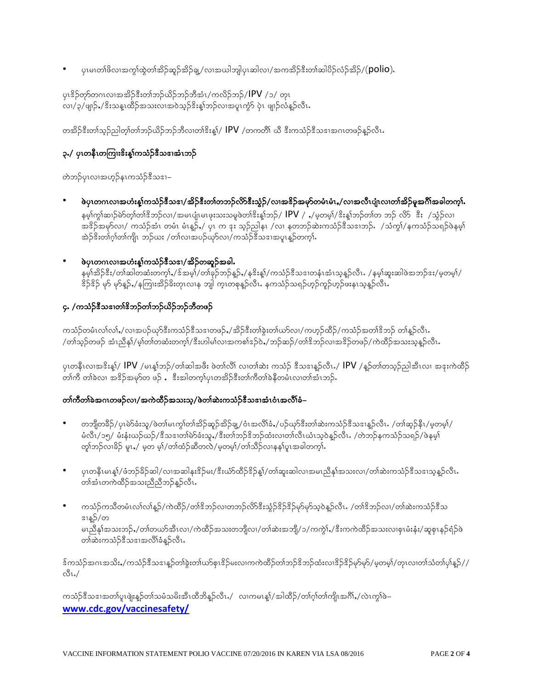ပုၤမၤတၢ်ဖိလၢအကွၢ်ထွဲတၢ်အိဉ်ဆူဉ်အိဉ်ချ့/လၢအယါဘျါပုၤဆါလၢ/အကအိဉ်ဒီးတၢ်ဆါပိဉ်လံဉ်အိဉ်/(**polio**).

ပုၤ<sup>စ္ပ</sup>ဉ်တုာ်တဂၤလၢအအိဉ်<sup>စွ</sup>ီးတၢ်ဘဉ်ယိဉ်ဘဉ်ဘီအံၤ/ကလိဉ်ဘဉ်/**IPV** /၁/ တုၤ .<br>လ၊/၃/ဖျာဉ်,/ဒိးသနၤထိဉ်အသးလ၊အဝဲသ္ဉ်ဒိးန1်ဘဉ်လ၊အပူၤကံ့ာ် ပုံၤ ဖျာဉ်လံနဉ်လီၤ

တအိဉ်ဒီးတ၊်သူဉ်ညါတ့၊်တ၊်ဘဉ်ယိဉ်ဘဉ်ဘီလ၊တ၊်ဒိးန့၊်/ **IPV** /တကတိ၊် ယီ ဒီးကသံဉ်ဒီသဒ၊အဂၤတဖဉ်နူဉ်လီၤ

## ၃./ ပုၤတနိႆၤတကြၢးၓိးန္၊်ကသံဉ်ဒီသဒၢအံၤဘဉ်

တဲဘဉ်ပုၤလၢအဟူဉ်နၤကသံဉ်ဒီသဒၢ–

- ဖဲပုၤတဂၤလၢအဟံးန္၊်ကသံဉ်ဒီသဒၢ/အိဉ်ဒီးတၢ်တဘဉ်လိာ်ဒီးသွံဉ်/လၢအဒိဉ်အမှာ်တမံၤမံၤႇ/လၢအလီၤပုုံ၊လ၊တၢ်အိဉ်မူအဂ်ိၢ်အခါတက္၊် နမ္နက္ဂြါဆၤာ်မဲာ်တ္နက္ခြါအသုလ၊ / အမၤပျုံ၊မၤဖုးသးသမူဖဲတၢိဒိႏန္နၢ်ဘဉ် / <code>lPV</code> / ႇ/မူတမ္န၊ / ဒိႏန္နၢ်ဘဉ်တ၊တ ဘဉ် လိ $5$ း / သွံဉ်လ၊ အ<sup>စ္ဌ</sup>ဉ်အမှာ်လ၊/ ကသံဉ်အံၤ တမံၤ မံၤန္ဉဉ်ႇ/ ပုၤ က ဒုး သူဉ်ညါနၤ /လၢ နတဘဉ်ဆဲးကသံဉ်ဒီသဒၢဘဉ်ႇ /သံကွၢ်/နကသံဉ်သရဉ်ဖဲနမ့ၢ် အဲဉ်ဒီးတၢ်ဂ္ဂါတၢ်ကျိၤ ဘဉ်ဃး /တၢ်လၢအပဉ်ယှာ်လၢ/ကသံဉ်ဒီသဒၢအပူၤန္နဉ်တက္ဂါ.
- ဖဲပုၤတဂၤလၢအဟႆးန္iကသံဉ်ဒီသဒၢ/အိဉ်တဆူဉ်အခါ. နမ့်ၢ်အိဉ်ဒီး/တ၊်ဆါတဆံးတက္၊်ႇ/ဒ်အမ့၊်/တ၊်ခုဉ်ဘဉ်န္ဉဉ်ႇ/နဒိးန္၊်/ကသံဉ်ဒီသဒၢတနံၤအံၤသုန္ဉာ်လီၤႉ /နမ့၊်ဆူးဆါဖဲအဘဉ်ဒး/မှတမ့၊်/ .<br>ဒိဉ်ဒိဉ် မှာ မှာနဉ်,/ နကြၢးအိဉ်ခိုးတုၤလၢန ဘျါ က္ၤတစုန္ဥာလီၤႉ နကသံဉ်သရဉ်ဟုဥ်ကူဉ်ဟုဉ်ဖႏနၤသ္ခန္ဥာလီၤ

#### ၄. /ကသံဉ်ဇီသဒၢတၢ်ဇိဘဉ်တၢ်ဘဉ်ယိဉ်ဘဉ်ဘီတဖဉ်

ကသံဉ်တမံၤလၢ်လၢ်ႇ/လၢအပဉ်ယှာ်ဒီးကသံဉ်ဒီသဒၢတဖဉ်ႇ/အိဉ်ဒီးတၢ်ခွဲးတ၊်ယာ်လၢ/ကဟ္ဥ်ထိဉ်/ကသံဉ်အတၢ်ဒိဘဉ် တၢ်နူဉ်လီၤႉ /တၢဴသွဉ်တဖဉ် အံၤညီနု)/မ့္ပ်တၢ်တဆံးတက္န)/ဒီးဟါမ္ပါလၤအကစါဒဉ်ဝဲႇ/ဘဉ်ဆဉ်/တၢိဒိဘဉ်လၤအဒိဉ်တဖဉ်/ကဲထိဉ်အသးသူန္ဉာလီၤႉ

ပုၤတနိၤလၢအ<sup>စွ</sup>ိးန္)/ **IPV** /မၤန္1ဘဉ်/တၢ်ဆါအဖီး ဖဲတၢ်လိၢ် လ၊တၢ်ဆဲး ကသံဉ် ဒီသဒၢန္ဥာ်လီၤႉ/ **IPV** /န္ဥာ်တၢ်တသူဉ်ညါအီၤလၢ အဒုးကဲထိဉ် တ၊်ကီ တ၊်ခဲလ၊ အဒိဉ်အမှာ်တ ဖဉ် , ဒီးအါတက္န၊်ပုၤတအိဉ်ဒီးတ၊်ကီတ၊်ခဲနီတမံၤလ၊တ၊်အံၤဘဉ်.

#### တၢဴကီတၢ်ခဲအဂၤတဖဉ်လၢ/အကဲထိဉ်အသးသ္/ဖဲတၢ်ဆဲးကသံဉ်ဒီသဒၢအံၤဝံၤအလိၢ်ခံ–

- တဘျိတခ်ိဉ်/ပုၤမဲာ်ခံးသူ/ဖဲတာ်မၤက္ဂၢ်တၤ်အိဉ်ဆူဉ်အိဉ်ချု့/ဝံၤအလိၢ်ခံႇ/ပဉ်ဃုာ်ဒီးတၢ်ဆဲးကသံဉ်ဒီသဒၢနူဉ်လီၤ /တၢ်ဆ္ဉ်နိၤ/မ့တမ့ၢ်/ မံလိၤ/၁၅/ မံးနံးယဉ်ယဉ်/ဒီသဒၢတါမ်ာ်ခံးသူ ,/ဒီးတၢ်ဘဉ်ဒိဘဉ်ထံးလ၊တၢ်လီၤယံၤသ့ဝဲန္ဉာလီၤ. /တဲဘဉ်နကသံဉ်သရဉ်/ဖဲနမ္န၊် တုံဘဉ်လ၊ခိဉ် မူး / မူတ မျှံ/တျ်ထံဉ်ဆီတလဲ/မူတမျှံ/တျ်သီဉ်လ၊နန္ဒုပူးအခါတက္မ္မႈ
- ပုၤတနိၤမၤန္၊်/ဖံဘဉ်ခိဉ်ဆါ/လၢအဆါနး<sup>စ္ပ</sup>ဉ်မႈ/<sup>စွ</sup>ီးယံာ်ထိဉ်<sup>ဒွ</sup>ဉ်န္၊်/တ၊်ဆူးဆါလၢအမၤညီနှၤ်အသးလၢ/တ၊်ဆဲးကသံဉ်<sup>စွ</sup>သဒၤသ့န္ဉ်လီၤႉ .<br>တါအံၤတကဲထိဉ်အသးညီညီဘဉ်နဉ်လိၤ**.**
- ကသံဉ်ကသိတမံၤလၢ်လ၊်နူဉ်/ကဲထိဉ်/တၢိဒိဘဉ်လ၊တဘဉ်လိာ်ဒီးသွံဉ်ဒိဉ်ဒိဉ်မှာ်မှာ်သူဝဲနူဉ်လီၤႉ /တၢ်ဒိဘဉ်လ၊/တ၊်ဆဲးကသံဉ်ဒီသ ၖၫန္<mark></mark>ဉ်/တ မၤညီနု၊်အသးဘဉ်ႇ/တၢ်တယာ်အီၤလၢ/ကဲထိဉ်အသးတဘျီလၢ/တၢ်ဆဲးအဘျိ/၁/ကကွဲ၊်ႇ/ဒီးကကဲထိဉ်အသးလၢစုၤမံးနံး/ဆူစုၤနဉ်ရံဉ်ဖဲ ာ<br>တစ်းကသံဉ်<sup>8</sup>သဒၢအလိၢ်ခံနဉ်လီၤ**.**

<u>စ်ကသံဉ်အဂၤအသိး ,/ကသံဉ်ဒီသဒၢနဉ်တၢ်ခွဲးတ၊်ယာ်စုၤဒိဉ်မးလၢကကဲထိဉ်တ၊်ဘဉ်ဒိဘဉ်ထံးလ၊ဒိဉ်ဒိဉ်မှာ်မှာ/မူတမူ၊်/တုၤလ၊တ၊်သံတ၊်ပု၊်နဉ်//</u> 81./

ကသံဉ်ဒီသဒၢအတၢ်ပူးဖျဲးန္ဥတၢ်သမံသမိးအီးထိဘိန္ဥလီး / လၢကမၤန္၊်/အါထိဉ်/တၢ်ဂ္ပါတၢ်ကျိၤအဂိၢ် /လဲၤက္ငၤ်ဖဲ– www.cdc.gov/vaccinesafety/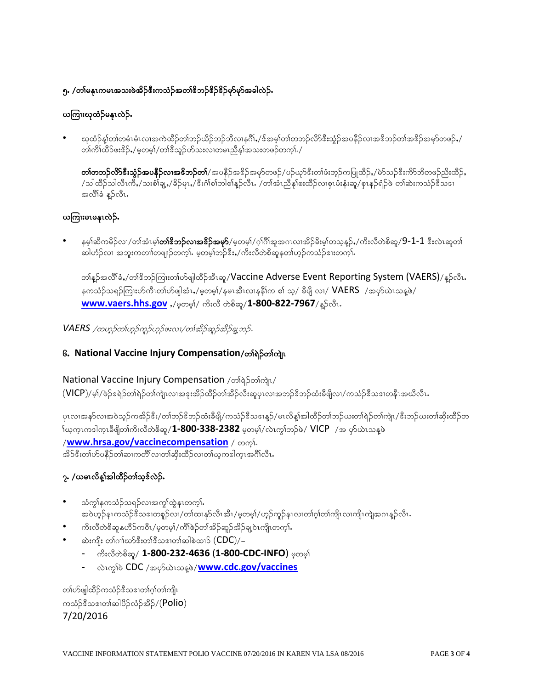### ၅. /တၢ်မနုၤကမၤအသးဖဲအိဉ်ဒီးကသံဉ်အတၢ်ဒိဘဉ်ဒိဉ်ဒိုဉ်မှာ်မှာ်အခါလဲဉ်.

## ယကြၢးယုထံဉ်မန1လဲဉ်.

ယုထံဉ်နှုံတါတမံၤမံၤလၢအကဲထိဉ်တၢ်ဘဉ်ယိဉ်ဘဉ်ဘိလၢနဂိၢ်ႇ/ဒ်အမှ၊်တ၊်တဘဉ်လိာ်ဒီးသွံဉ်အပနိဉ်လၢအဒိဘဉ်တ၊်အဒိဉ်အမှာ်တဖဉ်ႇ/ .<br>တၢကိၢိထိဉ်ဖး<sup>စ္ပ</sup>ဉ်,/မှတမ့)ဴ/တၢိ<sup>စ္စ</sup>သူဉ်ဟ်သးလၢတမၤသီနှၤ်အသးတဖဉ်တကၤ်

တ**်တဘဉ်လိာ်ဒီးသွံဉ်အပနိဉ်လၢအဖိဘဉ်တ၊်**/အပနိဉ်အ<sup>မွ</sup>ဉ်အမှာ်တဖဉ်/ပဉ်ယှာ်ဒီးတ၊်ဖံးဘ့ဉ်ကပြုထိဉ်ႇ/မဲာ်သဉ်ဒီးကိာ်ဘိတဖဉ်ညိးထိဉ်ႇ /သါထိဉ်သါလိၤကိႇ/သးစံ၊်ချ့ႇ/ခိဉ်မူၤႇ/ဒီးဂံ၊စ်ာဘါစါန္ဉာလီၤႉ /တၢ်အံၤညိနှၤ်စးထိဉ်လၢစုၤမံးနံးဆူ/စုၤနဉ်ရံဉ်ဖဲ တ၊်ဆဲးကသံဉ်ဒီသဒၢ အလိၢိခံ နူဉ်လီၤႉ

### ယကြၢးမၤမန္နၤလဲဉ်.

နမ့္ပ်ဆိကမိဉ်လ၊/တါအံၤမ္ပါ**တါဒိဘဉ်လ၊အဒိဉ်အမှာ်**/မှတမ့္ပ်/ဂ္ဂါဂိါအူအဂၤလ၊အိဉ်ခိႏမ္ပါတသူန္ဉာ်,/ကိႏလီတဲစိဆူ/**9-1-1** ဒီးလဲၤဆူတါ ဆါဟံဉ်လ၊ အဘူးကတၢါတဖျ၊ဉ်တက္၊်. မ့တမ့္၊်ဘဉ်ဒီး,/ကိုးလီတဲစိဆူနတၤ်ဟုဉ်ကသံဉ်ဒၢးတက္၊်.

တၢိန္နာ်အလိၢိခံႇ/တၢ်ိဳးဘဉ်ကြုးတ၊ဴဟ်ဖျါထိဉ်အီၤဆူ/Vaccine Adverse Event Reporting System (VAERS)/နူဉ်လီၤ. နကသံဉ်သရဉ်ကြားဟ်ကီၤတၢ်ဟ်ဖျါအံၤႇ/မ့တမ့)်/နမၤအီၤလၢနနိ1်က စၢ် သ့/ ခီဖျိ လၢ/  $\mathsf{VAERS}\;$  /အပှာ်ယဲၤသန့ဖဲ/ www.vaers.hhs.gov ,/అంత్రి/ యేణి లుశ్రీష్మ/1-800-822-7967/နဉ်လီး.

VAERS /တဟ္မာ်တၤ်ဟ္မာ်ကူဉ်ဟ္မာ်ဖးလ၊/တၤ်အိုဉ်ဆူဉ်အိုဉ်ချွ ဘုန်.

### G. National Vaccine Injury Compensation/တာရဲဉ်တာ်ကျာ

#### National Vaccine Injury Compensation / osiglosing/

(VICP)/မ့)်/ပဲဉ်ဒရဲဉ်တ၊်ရဲဉ်တ၊်ကျဲၤလ၊အဒုးအိဉ်ထိဉ်တ၊်အိဉ်လီးဆူပုၤလ၊အဘဉ်ဒိဘဉ်ထံးခီဖျိလ၊/ကသံဉ်ဒီသဒ၊တနီၤအယိလီၤ

ပုၤလၢအန>်လၢအဝဲသူဉ်ကအိဉ်ဒီး/တၢ်ဘဉ်ဒိဘဉ်ထံးခီဖျိ/ကသံဉ်ဒီသဒၢနူဉ်/မၤလိန္၊်အါထိဉ်တၢ်ဘဉ်ဃးတၢ်ရဲဉ်တၢ်ကျဲ၊/ဒီးဘဉ်ဃးတ၊်ဆိုးထိဉ်တ ်္ဂယ္မက္စ္ကၤက္စ္ကု အဖြဲ့တြယ္လုပ္မယ္လိတ္လွစ္လွာ႔ 1-800-338-2382 မွတ္မမ္နဲ႔တာကိုသည္ဖို႔ VICP ျဖား ဟိုယ္ကၤာအစ္ပဲ /www.hrsa.gov/vaccinecompensation / opti. အိဉ်ဒီးတ၊်ဟ်ပနိဉ်တ၊်ဆ၊ကတိ၊်လ၊တ၊်ဆိုးထိဉ်လ၊တ၊်ယ့ကဒါက္ၤအင်္ဂါလီၤ

### ၇. /ယမၤလိန္နါအါထိံဉ်တၢ်သူઙ်လဲဉ်.

- သံကွၢ်နကသံဉ်သရဉ်လၢအကွၢ်ထွဲနၤတက္၊်. .<br>အဝဲဟုဉ်နၤကသံဉ်ဒီသဒၢတစူဉ်လ၊/တၢ်ထ၊နှာ်လီၤအီၤ/မ့တမ့)/ဟုဉ်ကူဉ်နၤလ၊တၢ်ဂ့ၢ်တၢ်ကျိ၊လ၊ကျိ၊ကျဲအဂၤန္ဉာလီၤ
- ကိုးလီတဲစိဆူနဟိဉ်ကဝီၤ/မှတမ္]/ကိၢိစဉ်တၢ်အိဉ်ဆူဉ်အိဉ်ချုဝဲၤကျိၤတက္ၢ်.
- ဆဲးကျိုး တၢ်ဂၢၢိဃ $\mathcal S$ နီးတၢ်စီသဒၢတၢ်ဆါစဲထၢ $\mathcal S$   $(\mathsf{CDC})/-$ 
	- ကိုးလီတဲစိဆူ/ 1-800-232-4636 (1-800-CDC-INFO) မှတမ္<mark>)</mark>
	- လဲၤက္ဂါဖဲ CDC /အပုၥ်ယဲၤသန္ဖဖဲ/www.cdc.gov/vaccines

တၢဴဟ်ဖျါထိဉ်ကသံဉ်ဒီသဒၢတၢ်ဂ္ဂါတၢ်ကျို၊ ကသံဉ်ဒီသဒၢတၢ်ဆါပိဉ်လံဉ်အိဉ်/(Polio) 7/20/2016